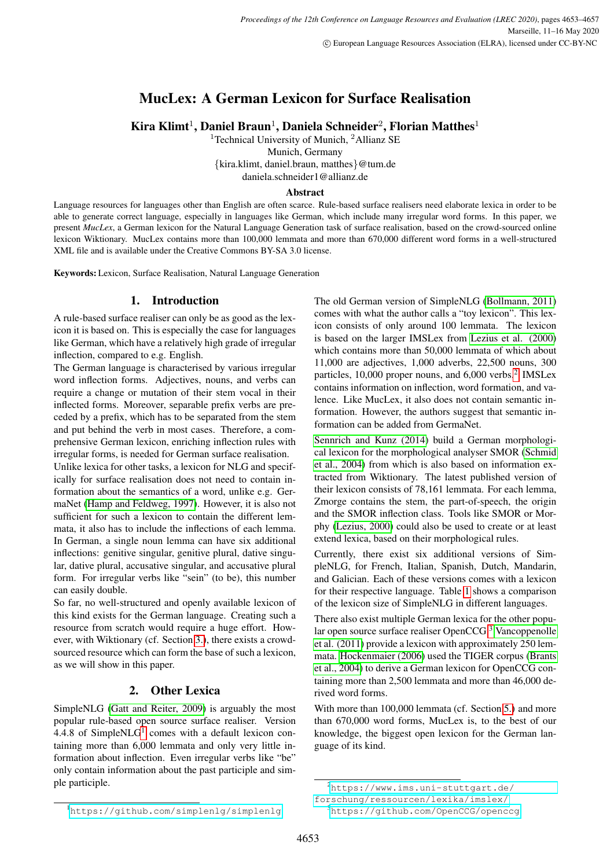# MucLex: A German Lexicon for Surface Realisation

Kira Klimt<sup>1</sup>, Daniel Braun<sup>1</sup>, Daniela Schneider<sup>2</sup>, Florian Matthes<sup>1</sup>

<sup>1</sup>Technical University of Munich, <sup>2</sup>Allianz SE

Munich, Germany

{kira.klimt, daniel.braun, matthes}@tum.de

daniela.schneider1@allianz.de

#### Abstract

Language resources for languages other than English are often scarce. Rule-based surface realisers need elaborate lexica in order to be able to generate correct language, especially in languages like German, which include many irregular word forms. In this paper, we present *MucLex*, a German lexicon for the Natural Language Generation task of surface realisation, based on the crowd-sourced online lexicon Wiktionary. MucLex contains more than 100,000 lemmata and more than 670,000 different word forms in a well-structured XML file and is available under the Creative Commons BY-SA 3.0 license.

Keywords: Lexicon, Surface Realisation, Natural Language Generation

## 1. Introduction

A rule-based surface realiser can only be as good as the lexicon it is based on. This is especially the case for languages like German, which have a relatively high grade of irregular inflection, compared to e.g. English.

The German language is characterised by various irregular word inflection forms. Adjectives, nouns, and verbs can require a change or mutation of their stem vocal in their inflected forms. Moreover, separable prefix verbs are preceded by a prefix, which has to be separated from the stem and put behind the verb in most cases. Therefore, a comprehensive German lexicon, enriching inflection rules with irregular forms, is needed for German surface realisation.

Unlike lexica for other tasks, a lexicon for NLG and specifically for surface realisation does not need to contain information about the semantics of a word, unlike e.g. GermaNet [\(Hamp and Feldweg, 1997\)](#page-3-0). However, it is also not sufficient for such a lexicon to contain the different lemmata, it also has to include the inflections of each lemma. In German, a single noun lemma can have six additional inflections: genitive singular, genitive plural, dative singular, dative plural, accusative singular, and accusative plural form. For irregular verbs like "sein" (to be), this number can easily double.

So far, no well-structured and openly available lexicon of this kind exists for the German language. Creating such a resource from scratch would require a huge effort. However, with Wiktionary (cf. Section [3.\)](#page-1-0), there exists a crowdsourced resource which can form the base of such a lexicon, as we will show in this paper.

# 2. Other Lexica

<span id="page-0-0"></span>SimpleNLG [\(Gatt and Reiter, 2009\)](#page-3-1) is arguably the most popular rule-based open source surface realiser. Version 4.4.8 of SimpleNL $G<sup>1</sup>$  $G<sup>1</sup>$  $G<sup>1</sup>$  comes with a default lexicon containing more than 6,000 lemmata and only very little information about inflection. Even irregular verbs like "be" only contain information about the past participle and simple participle.

The old German version of SimpleNLG [\(Bollmann, 2011\)](#page-3-2) comes with what the author calls a "toy lexicon". This lexicon consists of only around 100 lemmata. The lexicon is based on the larger IMSLex from [Lezius et al. \(2000\)](#page-3-3) which contains more than 50,000 lemmata of which about 11,000 are adjectives, 1,000 adverbs, 22,500 nouns, 300 particles, 10,000 proper nouns, and 6,000 verbs.<sup>[2](#page-0-1)</sup> IMSLex contains information on inflection, word formation, and valence. Like MucLex, it also does not contain semantic information. However, the authors suggest that semantic information can be added from GermaNet.

[Sennrich and Kunz \(2014\)](#page-4-0) build a German morphological lexicon for the morphological analyser SMOR [\(Schmid](#page-4-1) [et al., 2004\)](#page-4-1) from which is also based on information extracted from Wiktionary. The latest published version of their lexicon consists of 78,161 lemmata. For each lemma, Zmorge contains the stem, the part-of-speech, the origin and the SMOR inflection class. Tools like SMOR or Morphy [\(Lezius, 2000\)](#page-4-2) could also be used to create or at least extend lexica, based on their morphological rules.

Currently, there exist six additional versions of SimpleNLG, for French, Italian, Spanish, Dutch, Mandarin, and Galician. Each of these versions comes with a lexicon for their respective language. Table [1](#page-1-1) shows a comparison of the lexicon size of SimpleNLG in different languages.

There also exist multiple German lexica for the other popular open source surface realiser OpenCCG.[3](#page-0-2) [Vancoppenolle](#page-4-3) [et al. \(2011\)](#page-4-3) provide a lexicon with approximately 250 lemmata. [Hockenmaier \(2006\)](#page-3-4) used the TIGER corpus [\(Brants](#page-3-5) [et al., 2004\)](#page-3-5) to derive a German lexicon for OpenCCG containing more than 2,500 lemmata and more than 46,000 derived word forms.

With more than 100,000 lemmata (cf. Section [5.\)](#page-2-0) and more than 670,000 word forms, MucLex is, to the best of our knowledge, the biggest open lexicon for the German language of its kind.

<span id="page-0-1"></span><sup>2</sup>[https://www.ims.uni-stuttgart.de/](https://www.ims.uni-stuttgart.de/forschung/ressourcen/lexika/imslex/)

[forschung/ressourcen/lexika/imslex/](https://www.ims.uni-stuttgart.de/forschung/ressourcen/lexika/imslex/)

<span id="page-0-2"></span><sup>3</sup><https://github.com/OpenCCG/openccg>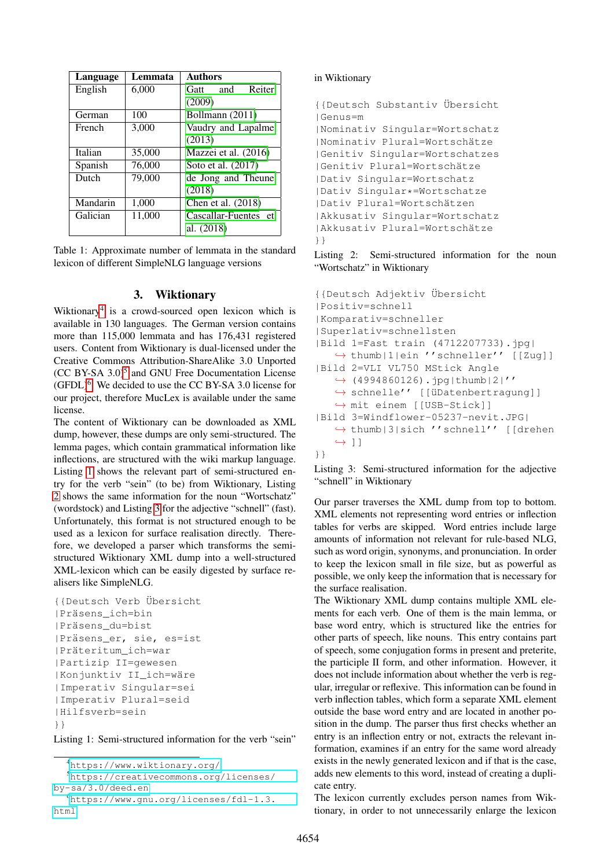| Language | Lemmata | <b>Authors</b>        |
|----------|---------|-----------------------|
| English  | 6,000   | Reiter<br>and<br>Gatt |
|          |         | (2009)                |
| German   | 100     | Bollmann (2011)       |
| French   | 3,000   | Vaudry and Lapalme    |
|          |         | (2013)                |
| Italian  | 35,000  | Mazzei et al. (2016)  |
| Spanish  | 76,000  | Soto et al. (2017)    |
| Dutch    | 79,000  | de Jong and Theune    |
|          |         | (2018)                |
| Mandarin | 1,000   | Chen et al. (2018)    |
| Galician | 11,000  | Cascallar-Fuentes et  |
|          |         | al. (2018)            |

<span id="page-1-1"></span>Table 1: Approximate number of lemmata in the standard lexicon of different SimpleNLG language versions

### 3. Wiktionary

<span id="page-1-0"></span>Wiktionary<sup>[4](#page-1-2)</sup> is a crowd-sourced open lexicon which is available in 130 languages. The German version contains more than 115,000 lemmata and has 176,431 registered users. Content from Wiktionary is dual-licensed under the Creative Commons Attribution-ShareAlike 3.0 Unported  $(CC BY-SA 3.0)<sup>5</sup>$  $(CC BY-SA 3.0)<sup>5</sup>$  $(CC BY-SA 3.0)<sup>5</sup>$  and GNU Free Documentation License  $(GFDL)^6$  $(GFDL)^6$ . We decided to use the CC BY-SA 3.0 license for our project, therefore MucLex is available under the same license.

The content of Wiktionary can be downloaded as XML dump, however, these dumps are only semi-structured. The lemma pages, which contain grammatical information like inflections, are structured with the wiki markup language. Listing [1](#page-1-5) shows the relevant part of semi-structured entry for the verb "sein" (to be) from Wiktionary, Listing [2](#page-1-6) shows the same information for the noun "Wortschatz" (wordstock) and Listing [3](#page-1-7) for the adjective "schnell" (fast). Unfortunately, this format is not structured enough to be used as a lexicon for surface realisation directly. Therefore, we developed a parser which transforms the semistructured Wiktionary XML dump into a well-structured XML-lexicon which can be easily digested by surface realisers like SimpleNLG.

```
{{Deutsch Verb ¨Ubersicht
|Präsens_ich=bin
|Pr¨asens_du=bist
|Präsens_er, sie, es=ist
| Präteritum_ich=war
|Partizip II=gewesen
|Konjunktiv II_ich=w¨are
|Imperativ Singular=sei
|Imperativ Plural=seid
|Hilfsverb=sein
}}
```
Listing 1: Semi-structured information for the verb "sein"

```
4https://www.wiktionary.org/
```

```
5https://creativecommons.org/licenses/
by-sa/3.0/deed.en
```

```
6https://www.gnu.org/licenses/fdl-1.3.
html
```
## in Wiktionary

```
{{Deutsch Substantiv ¨Ubersicht
|Genus=m
|Nominativ Singular=Wortschatz
| Nominativ Plural=Wortschätze
|Genitiv Singular=Wortschatzes
|Genitiv Plural=Wortschätze
|Dativ Singular=Wortschatz
|Dativ Singular*=Wortschatze
|Dativ Plural=Wortsch¨atzen
|Akkusativ Singular=Wortschatz
| Akkusativ Plural=Wortschätze
}}
```
Listing 2: Semi-structured information for the noun "Wortschatz" in Wiktionary

```
{{Deutsch Adjektiv ¨Ubersicht
|Positiv=schnell
|Komparativ=schneller
|Superlativ=schnellsten
|Bild 1=Fast train (4712207733).jpg|
   ,→ thumb|1|ein ''schneller'' [[Zug]]
|Bild 2=VLI VL750 MStick Angle
   ,→ (4994860126).jpg|thumb|2|''
   → schnelle'' [[üDatenbertragung]]
   ,→ mit einem [[USB-Stick]]
|Bild 3=Windflower-05237-nevit.JPG|
   ,→ thumb|3|sich ''schnell'' [[drehen
   \leftrightarrow ]]
}}
```
Listing 3: Semi-structured information for the adjective "schnell" in Wiktionary

Our parser traverses the XML dump from top to bottom. XML elements not representing word entries or inflection tables for verbs are skipped. Word entries include large amounts of information not relevant for rule-based NLG, such as word origin, synonyms, and pronunciation. In order to keep the lexicon small in file size, but as powerful as possible, we only keep the information that is necessary for the surface realisation.

The Wiktionary XML dump contains multiple XML elements for each verb. One of them is the main lemma, or base word entry, which is structured like the entries for other parts of speech, like nouns. This entry contains part of speech, some conjugation forms in present and preterite, the participle II form, and other information. However, it does not include information about whether the verb is regular, irregular or reflexive. This information can be found in verb inflection tables, which form a separate XML element outside the base word entry and are located in another position in the dump. The parser thus first checks whether an entry is an inflection entry or not, extracts the relevant information, examines if an entry for the same word already exists in the newly generated lexicon and if that is the case, adds new elements to this word, instead of creating a duplicate entry.

The lexicon currently excludes person names from Wiktionary, in order to not unnecessarily enlarge the lexicon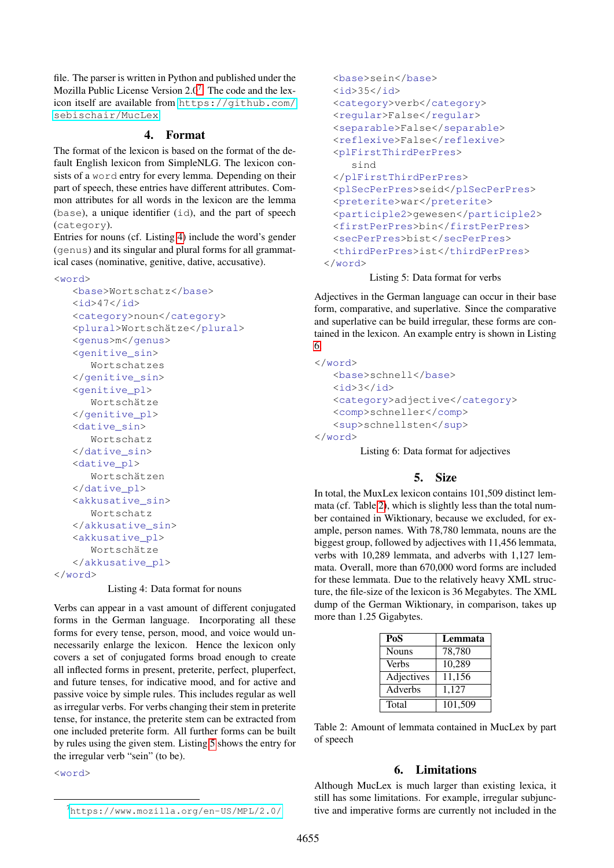file. The parser is written in Python and published under the Mozilla Public License Version  $2.0<sup>7</sup>$  $2.0<sup>7</sup>$  $2.0<sup>7</sup>$ . The code and the lexicon itself are available from [https://github.com/](https://github.com/sebischair/MucLex) [sebischair/MucLex](https://github.com/sebischair/MucLex).

#### 4. Format

The format of the lexicon is based on the format of the default English lexicon from SimpleNLG. The lexicon consists of a word entry for every lemma. Depending on their part of speech, these entries have different attributes. Common attributes for all words in the lexicon are the lemma (base), a unique identifier (id), and the part of speech (category).

Entries for nouns (cf. Listing [4\)](#page-2-2) include the word's gender (genus) and its singular and plural forms for all grammatical cases (nominative, genitive, dative, accusative).

<span id="page-2-2"></span><word>

```
<base>Wortschatz</base>

   <category>noun</category>
   <plural>Wortschätze</plural>
   <genus>m</genus>
   <genitive_sin>
      Wortschatzes
  </genitive_sin>
   <genitive_pl>
      Wortschätze
   </genitive_pl>
   <dative_sin>
      Wortschatz
  </dative_sin>
   <dative_pl>
      Wortschätzen
   </dative_pl>
   <akkusative_sin>
      Wortschatz
   </akkusative_sin>
   <akkusative_pl>
      Wortschätze
   </akkusative_pl>
</word>
```
Listing 4: Data format for nouns

Verbs can appear in a vast amount of different conjugated forms in the German language. Incorporating all these forms for every tense, person, mood, and voice would unnecessarily enlarge the lexicon. Hence the lexicon only covers a set of conjugated forms broad enough to create all inflected forms in present, preterite, perfect, pluperfect, and future tenses, for indicative mood, and for active and passive voice by simple rules. This includes regular as well as irregular verbs. For verbs changing their stem in preterite tense, for instance, the preterite stem can be extracted from one included preterite form. All further forms can be built by rules using the given stem. Listing [5](#page-2-3) shows the entry for the irregular verb "sein" (to be).

<span id="page-2-3"></span><word>

```
<base>sein</base>

 <category>verb</category>
 <regular>False</regular>
 <separable>False</separable>
 <reflexive>False</reflexive>
 <plFirstThirdPerPres>
    sind
 </plFirstThirdPerPres>
 <plSecPerPres>seid</plSecPerPres>
 <preterite>war</preterite>
 <participle2>gewesen</participle2>
 <firstPerPres>bin</firstPerPres>
 <secPerPres>bist</secPerPres>
 <thirdPerPres>ist</thirdPerPres>
</word>
```
### Listing 5: Data format for verbs

Adjectives in the German language can occur in their base form, comparative, and superlative. Since the comparative and superlative can be build irregular, these forms are contained in the lexicon. An example entry is shown in Listing [6.](#page-2-4)

```
</word>
   <base>schnell</base>
   <id>3</id>
   <category>adjective</category>
   <comp>schneller</comp>
   <sup>schnellsten</sup>
</word>
```
Listing 6: Data format for adjectives

### 5. Size

<span id="page-2-0"></span>In total, the MuxLex lexicon contains 101,509 distinct lemmata (cf. Table [2\)](#page-2-5), which is slightly less than the total number contained in Wiktionary, because we excluded, for example, person names. With 78,780 lemmata, nouns are the biggest group, followed by adjectives with 11,456 lemmata, verbs with 10,289 lemmata, and adverbs with 1,127 lemmata. Overall, more than 670,000 word forms are included for these lemmata. Due to the relatively heavy XML structure, the file-size of the lexicon is 36 Megabytes. The XML dump of the German Wiktionary, in comparison, takes up more than 1.25 Gigabytes.

| PoS          | Lemmata |
|--------------|---------|
| <b>Nouns</b> | 78,780  |
| <b>Verbs</b> | 10,289  |
| Adjectives   | 11,156  |
| Adverbs      | 1,127   |
| Total        | 101,509 |

<span id="page-2-5"></span>Table 2: Amount of lemmata contained in MucLex by part of speech

#### 6. Limitations

<span id="page-2-6"></span>Although MucLex is much larger than existing lexica, it still has some limitations. For example, irregular subjunctive and imperative forms are currently not included in the

<span id="page-2-1"></span><sup>7</sup><https://www.mozilla.org/en-US/MPL/2.0/>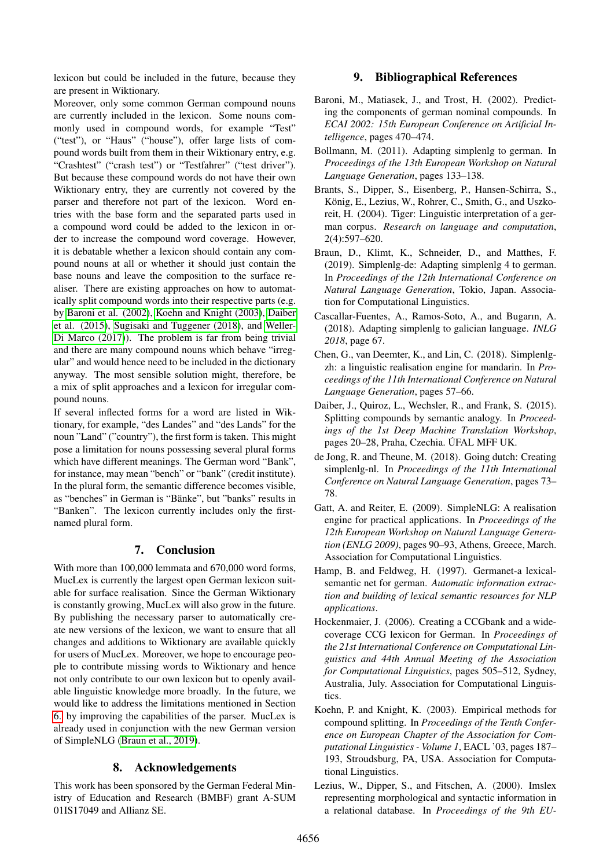lexicon but could be included in the future, because they are present in Wiktionary.

Moreover, only some common German compound nouns are currently included in the lexicon. Some nouns commonly used in compound words, for example "Test" ("test"), or "Haus" ("house"), offer large lists of compound words built from them in their Wiktionary entry, e.g. "Crashtest" ("crash test") or "Testfahrer" ("test driver"). But because these compound words do not have their own Wiktionary entry, they are currently not covered by the parser and therefore not part of the lexicon. Word entries with the base form and the separated parts used in a compound word could be added to the lexicon in order to increase the compound word coverage. However, it is debatable whether a lexicon should contain any compound nouns at all or whether it should just contain the base nouns and leave the composition to the surface realiser. There are existing approaches on how to automatically split compound words into their respective parts (e.g. by [Baroni et al. \(2002\)](#page-3-9), [Koehn and Knight \(2003\)](#page-3-10), [Daiber](#page-3-11) [et al. \(2015\)](#page-3-11), [Sugisaki and Tuggener \(2018\)](#page-4-7), and [Weller-](#page-4-8)[Di Marco \(2017\)](#page-4-8)). The problem is far from being trivial and there are many compound nouns which behave "irregular" and would hence need to be included in the dictionary anyway. The most sensible solution might, therefore, be a mix of split approaches and a lexicon for irregular compound nouns.

If several inflected forms for a word are listed in Wiktionary, for example, "des Landes" and "des Lands" for the noun "Land" ("country"), the first form is taken. This might pose a limitation for nouns possessing several plural forms which have different meanings. The German word "Bank", for instance, may mean "bench" or "bank" (credit institute). In the plural form, the semantic difference becomes visible, as "benches" in German is "Bänke", but "banks" results in "Banken". The lexicon currently includes only the firstnamed plural form.

### 7. Conclusion

With more than 100,000 lemmata and 670,000 word forms, MucLex is currently the largest open German lexicon suitable for surface realisation. Since the German Wiktionary is constantly growing, MucLex will also grow in the future. By publishing the necessary parser to automatically create new versions of the lexicon, we want to ensure that all changes and additions to Wiktionary are available quickly for users of MucLex. Moreover, we hope to encourage people to contribute missing words to Wiktionary and hence not only contribute to our own lexicon but to openly available linguistic knowledge more broadly. In the future, we would like to address the limitations mentioned in Section [6.](#page-2-6) by improving the capabilities of the parser. MucLex is already used in conjunction with the new German version of SimpleNLG [\(Braun et al., 2019\)](#page-3-12).

## 8. Acknowledgements

This work has been sponsored by the German Federal Ministry of Education and Research (BMBF) grant A-SUM 01IS17049 and Allianz SE.

## 9. Bibliographical References

- <span id="page-3-9"></span>Baroni, M., Matiasek, J., and Trost, H. (2002). Predicting the components of german nominal compounds. In *ECAI 2002: 15th European Conference on Artificial Intelligence*, pages 470–474.
- <span id="page-3-2"></span>Bollmann, M. (2011). Adapting simplenlg to german. In *Proceedings of the 13th European Workshop on Natural Language Generation*, pages 133–138.
- <span id="page-3-5"></span>Brants, S., Dipper, S., Eisenberg, P., Hansen-Schirra, S., König, E., Lezius, W., Rohrer, C., Smith, G., and Uszkoreit, H. (2004). Tiger: Linguistic interpretation of a german corpus. *Research on language and computation*, 2(4):597–620.
- <span id="page-3-12"></span>Braun, D., Klimt, K., Schneider, D., and Matthes, F. (2019). Simplenlg-de: Adapting simplenlg 4 to german. In *Proceedings of the 12th International Conference on Natural Language Generation*, Tokio, Japan. Association for Computational Linguistics.
- <span id="page-3-8"></span>Cascallar-Fuentes, A., Ramos-Soto, A., and Bugarın, A. (2018). Adapting simplenlg to galician language. *INLG 2018*, page 67.
- <span id="page-3-7"></span>Chen, G., van Deemter, K., and Lin, C. (2018). Simplenlgzh: a linguistic realisation engine for mandarin. In *Proceedings of the 11th International Conference on Natural Language Generation*, pages 57–66.
- <span id="page-3-11"></span>Daiber, J., Quiroz, L., Wechsler, R., and Frank, S. (2015). Splitting compounds by semantic analogy. In *Proceedings of the 1st Deep Machine Translation Workshop*, pages 20–28, Praha, Czechia. ÚFAL MFF UK.
- <span id="page-3-6"></span>de Jong, R. and Theune, M. (2018). Going dutch: Creating simplenlg-nl. In *Proceedings of the 11th International Conference on Natural Language Generation*, pages 73– 78.
- <span id="page-3-1"></span>Gatt, A. and Reiter, E. (2009). SimpleNLG: A realisation engine for practical applications. In *Proceedings of the 12th European Workshop on Natural Language Generation (ENLG 2009)*, pages 90–93, Athens, Greece, March. Association for Computational Linguistics.
- <span id="page-3-0"></span>Hamp, B. and Feldweg, H. (1997). Germanet-a lexicalsemantic net for german. *Automatic information extraction and building of lexical semantic resources for NLP applications*.
- <span id="page-3-4"></span>Hockenmaier, J. (2006). Creating a CCGbank and a widecoverage CCG lexicon for German. In *Proceedings of the 21st International Conference on Computational Linguistics and 44th Annual Meeting of the Association for Computational Linguistics*, pages 505–512, Sydney, Australia, July. Association for Computational Linguistics.
- <span id="page-3-10"></span>Koehn, P. and Knight, K. (2003). Empirical methods for compound splitting. In *Proceedings of the Tenth Conference on European Chapter of the Association for Computational Linguistics - Volume 1*, EACL '03, pages 187– 193, Stroudsburg, PA, USA. Association for Computational Linguistics.
- <span id="page-3-3"></span>Lezius, W., Dipper, S., and Fitschen, A. (2000). Imslex representing morphological and syntactic information in a relational database. In *Proceedings of the 9th EU-*